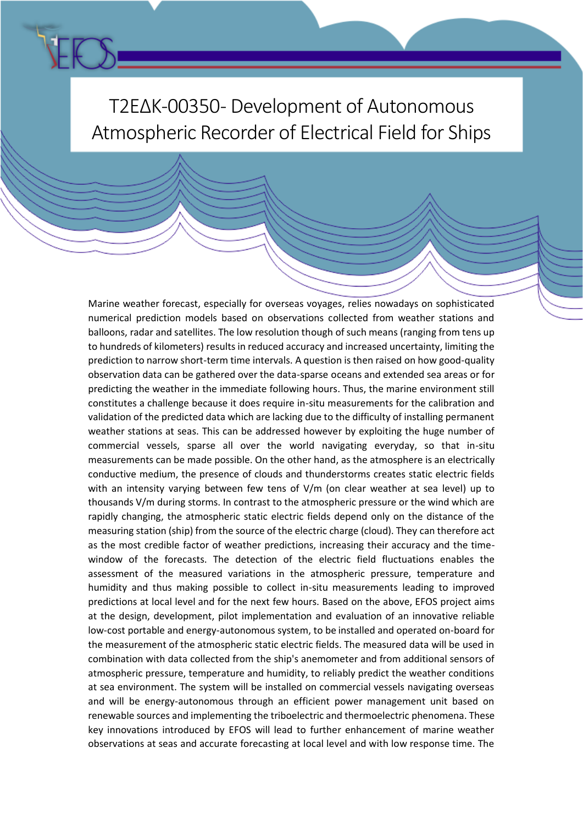

Marine weather forecast, especially for overseas voyages, relies nowadays on sophisticated numerical prediction models based on observations collected from weather stations and balloons, radar and satellites. The low resolution though of such means (ranging from tens up to hundreds of kilometers) results in reduced accuracy and increased uncertainty, limiting the prediction to narrow short-term time intervals. A question is then raised on how good-quality observation data can be gathered over the data-sparse oceans and extended sea areas or for predicting the weather in the immediate following hours. Thus, the marine environment still constitutes a challenge because it does require in-situ measurements for the calibration and validation of the predicted data which are lacking due to the difficulty of installing permanent weather stations at seas. This can be addressed however by exploiting the huge number of commercial vessels, sparse all over the world navigating everyday, so that in-situ measurements can be made possible. On the other hand, as the atmosphere is an electrically conductive medium, the presence of clouds and thunderstorms creates static electric fields with an intensity varying between few tens of V/m (on clear weather at sea level) up to thousands V/m during storms. In contrast to the atmospheric pressure or the wind which are rapidly changing, the atmospheric static electric fields depend only on the distance of the measuring station (ship) from the source of the electric charge (cloud). They can therefore act as the most credible factor of weather predictions, increasing their accuracy and the timewindow of the forecasts. The detection of the electric field fluctuations enables the assessment of the measured variations in the atmospheric pressure, temperature and humidity and thus making possible to collect in-situ measurements leading to improved predictions at local level and for the next few hours. Based on the above, EFOS project aims at the design, development, pilot implementation and evaluation of an innovative reliable low-cost portable and energy-autonomous system, to be installed and operated on-board for the measurement of the atmospheric static electric fields. The measured data will be used in combination with data collected from the ship's anemometer and from additional sensors of atmospheric pressure, temperature and humidity, to reliably predict the weather conditions at sea environment. The system will be installed on commercial vessels navigating overseas and will be energy-autonomous through an efficient power management unit based on renewable sources and implementing the triboelectric and thermoelectric phenomena. These key innovations introduced by EFOS will lead to further enhancement of marine weather observations at seas and accurate forecasting at local level and with low response time. The